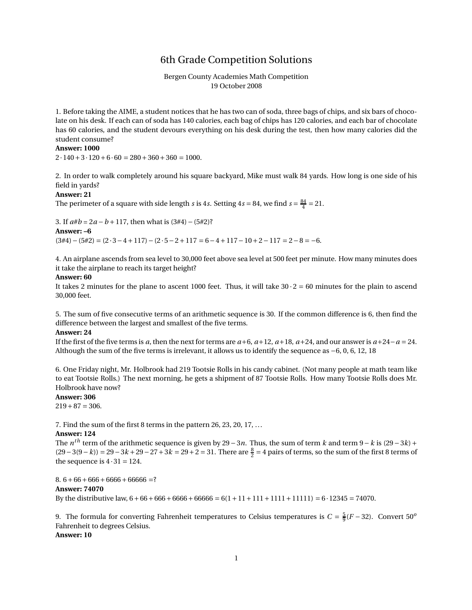# 6th Grade Competition Solutions

Bergen County Academies Math Competition 19 October 2008

1. Before taking the AIME, a student notices that he has two can of soda, three bags of chips, and six bars of chocolate on his desk. If each can of soda has 140 calories, each bag of chips has 120 calories, and each bar of chocolate has 60 calories, and the student devours everything on his desk during the test, then how many calories did the student consume?

#### **Answer: 1000**

 $2 \cdot 140 + 3 \cdot 120 + 6 \cdot 60 = 280 + 360 + 360 = 1000$ .

2. In order to walk completely around his square backyard, Mike must walk 84 yards. How long is one side of his field in yards?

#### **Answer: 21**

The perimeter of a square with side length *s* is 4*s*. Setting  $4s = 84$ , we find  $s = \frac{84}{4} = 21$ .

3. If *a*#*b* = 2*a* −*b* +117, then what is (3#4)−(5#2)?

**Answer: –6**

 $(3#4)-(5#2)=(2\cdot3-4+117)-(2\cdot5-2+117=6-4+117-10+2-117=2-8=-6.$ 

4. An airplane ascends from sea level to 30,000 feet above sea level at 500 feet per minute. How many minutes does it take the airplane to reach its target height?

#### **Answer: 60**

It takes 2 minutes for the plane to ascent 1000 feet. Thus, it will take  $30 \cdot 2 = 60$  minutes for the plain to ascend 30,000 feet.

5. The sum of five consecutive terms of an arithmetic sequence is 30. If the common difference is 6, then find the difference between the largest and smallest of the five terms.

#### **Answer: 24**

If the first of the five terms is *a*, then the next for terms are  $a+6$ ,  $a+12$ ,  $a+18$ ,  $a+24$ , and our answer is  $a+24-a=24$ . Although the sum of the five terms is irrelevant, it allows us to identify the sequence as −6, 0, 6, 12, 18

6. One Friday night, Mr. Holbrook had 219 Tootsie Rolls in his candy cabinet. (Not many people at math team like to eat Tootsie Rolls.) The next morning, he gets a shipment of 87 Tootsie Rolls. How many Tootsie Rolls does Mr. Holbrook have now?

## **Answer: 306**

 $219 + 87 = 306.$ 

7. Find the sum of the first 8 terms in the pattern 26, 23, 20, 17, ...

## **Answer: 124**

The *n th* term of the arithmetic sequence is given by 29<sup>−</sup> <sup>3</sup>*n*. Thus, the sum of term *<sup>k</sup>* and term 9<sup>−</sup> *<sup>k</sup>* is (29<sup>−</sup> <sup>3</sup>*k*) <sup>+</sup>  $(29-3(9-k)) = 29-3k+29-27+3k = 29+2 = 31$ . There are  $\frac{8}{2} = 4$  pairs of terms, so the sum of the first 8 terms of the sequence is  $4 \cdot 31 = 124$ .

8.  $6+66+666+6666+6666=$ **Answer: 74070** By the distributive law,  $6+66+666+6666+66666 = 6(1+11+111+1111+11111) = 6.12345 = 74070$ .

9. The formula for converting Fahrenheit temperatures to Celsius temperatures is  $C = \frac{5}{9}(F - 32)$ . Convert 50<sup>*o*</sup> Fahrenheit to degrees Celsius.

**Answer: 10**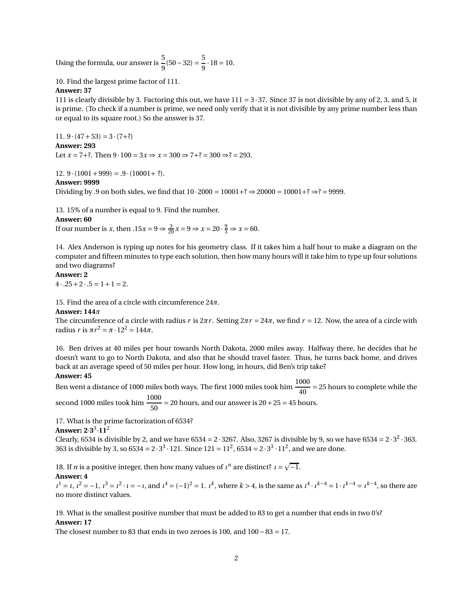Using the formula, our answer is  $\frac{5}{9}(50-32) = \frac{5}{9}$  $\frac{2}{9} \cdot 18 = 10.$ 

10. Find the largest prime factor of 111.

## **Answer: 37**

111 is clearly divisible by 3. Factoring this out, we have 111 = 3 · 37. Since 37 is not divisible by any of 2, 3, and 5, it is prime. (To check if a number is prime, we need only verify that it is not divisible by any prime number less than or equal to its square root.) So the answer is 37.

11.  $9 \cdot (47 + 53) = 3 \cdot (7 + ?)$ **Answer: 293** Let  $x = 7+$ ?. Then  $9 \cdot 100 = 3x \Rightarrow x = 300 \Rightarrow 7+$ ? = 300  $\Rightarrow$ ? = 293.

12.  $9 \cdot (1001 + 999) = .9 \cdot (10001 + ?).$ 

#### **Answer: 9999**

Dividing by .9 on both sides, we find that  $10 \cdot 2000 = 10001 + ? \Rightarrow 20000 = 10001 + ? \Rightarrow ? = 9999$ .

13. 15% of a number is equal to 9. Find the number.

#### **Answer: 60**

If our number is *x*, then  $.15x = 9 \Rightarrow \frac{3}{20}x = 9 \Rightarrow x = 20 \cdot \frac{9}{3} \Rightarrow x = 60$ .

14. Alex Anderson is typing up notes for his geometry class. If it takes him a half hour to make a diagram on the computer and fifteen minutes to type each solution, then how many hours will it take him to type up four solutions and two diagrams?

### **Answer: 2**

 $4 \cdot .25 + 2 \cdot .5 = 1 + 1 = 2.$ 

15. Find the area of a circle with circumference 24*π*.

#### **Answer: 144***π*

The circumference of a circle with radius *r* is  $2\pi r$ . Setting  $2\pi r = 24\pi$ , we find  $r = 12$ . Now, the area of a circle with  $r \text{ is } πr^2 = π \cdot 12^2 = 144π.$ 

16. Ben drives at 40 miles per hour towards North Dakota, 2000 miles away. Halfway there, he decides that he doesn't want to go to North Dakota, and also that he should travel faster. Thus, he turns back home, and drives back at an average speed of 50 miles per hour. How long, in hours, did Ben's trip take?

### **Answer: 45**

Ben went a distance of 1000 miles both ways. The first 1000 miles took him  $\frac{1000}{40}$  $\frac{1}{40}$  = 25 hours to complete while the second 1000 miles took him  $\frac{1000}{50}$  $\frac{320}{50}$  = 20 hours, and our answer is 20 + 25 = 45 hours.

17. What is the prime factorization of 6534?

# **Answer: 2**·**<sup>3</sup>** 3 ·**11**<sup>2</sup>

Clearly, 6534 is divisible by 2, and we have 6534 =  $2 \cdot 3267$ . Also, 3267 is divisible by 9, so we have 6534 =  $2 \cdot 3^2 \cdot 363$ . 363 is divisible by 3, so  $6534 = 2 \cdot 3^3 \cdot 121$ . Since  $121 = 11^2$ ,  $6534 = 2 \cdot 3^3 \cdot 11^2$ , and we are done.

18. If *n* is a positive integer, then how many values of  $\iota^n$  are distinct?  $\iota = \sqrt{-1}$ .

#### **Answer: 4**

 $i^{1} = i$ ,  $i^{2} = -1$ ,  $i^{3} = i^{2} \cdot i = -i$ , and  $i^{4} = (-1)^{2} = 1$ .  $i^{k}$ , where  $k > 4$ , is the same as  $i^{4} \cdot i^{k-4} = 1 \cdot i^{k-4} = i^{k-4}$ , so there are no more distinct values.

## 19. What is the smallest positive number that must be added to 83 to get a number that ends in two 0's? **Answer: 17**

The closest number to 83 that ends in two zeroes is 100, and 100−83 = 17.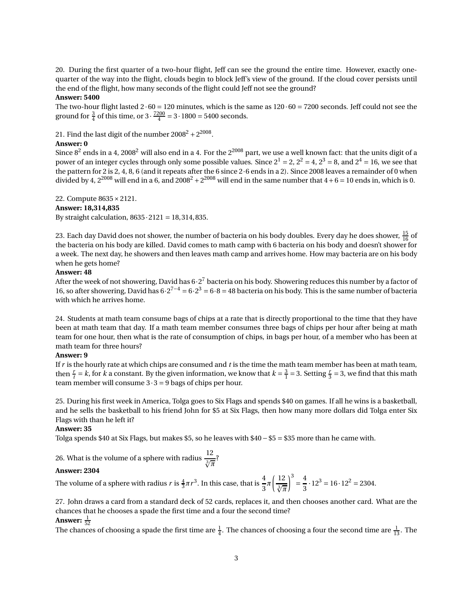20. During the first quarter of a two-hour flight, Jeff can see the ground the entire time. However, exactly onequarter of the way into the flight, clouds begin to block Jeff's view of the ground. If the cloud cover persists until the end of the flight, how many seconds of the flight could Jeff not see the ground?

### **Answer: 5400**

The two-hour flight lasted  $2 \cdot 60 = 120$  minutes, which is the same as  $120 \cdot 60 = 7200$  seconds. Jeff could not see the ground for  $\frac{3}{4}$  of this time, or  $3 \cdot \frac{7200}{4} = 3 \cdot 1800 = 5400$  seconds.

21. Find the last digit of the number  $2008^2 + 2^{2008}$ .

#### **Answer: 0**

Since 8<sup>2</sup> ends in a 4, 2008<sup>2</sup> will also end in a 4. For the 2<sup>2008</sup> part, we use a well known fact: that the units digit of a power of an integer cycles through only some possible values. Since  $2^1 = 2$ ,  $2^2 = 4$ ,  $2^3 = 8$ , and  $2^4 = 16$ , we see that the pattern for 2 is 2, 4, 8, 6 (and it repeats after the 6 since 2 $\cdot$  6 ends in a 2). Since 2008 leaves a remainder of 0 when divided by 4,  $2^{2008}$  will end in a 6, and  $2008^2 + 2^{2008}$  will end in the same number that  $4+6=10$  ends in, which is 0.

22. Compute 8635×2121. **Answer: 18,314,835** By straight calculation,  $8635 \cdot 2121 = 18,314,835$ .

23. Each day David does not shower, the number of bacteria on his body doubles. Every day he does shower,  $\frac{15}{16}$  of the bacteria on his body are killed. David comes to math camp with 6 bacteria on his body and doesn't shower for a week. The next day, he showers and then leaves math camp and arrives home. How may bacteria are on his body when he gets home?

#### **Answer: 48**

After the week of not showering, David has  $6 \cdot 2^7$  bacteria on his body. Showering reduces this number by a factor of 16, so after showering, David has  $6 \cdot 2^{7-4} = 6 \cdot 2^3 = 6 \cdot 8 = 48$  bacteria on his body. This is the same number of bacteria with which he arrives home.

24. Students at math team consume bags of chips at a rate that is directly proportional to the time that they have been at math team that day. If a math team member consumes three bags of chips per hour after being at math team for one hour, then what is the rate of consumption of chips, in bags per hour, of a member who has been at math team for three hours?

#### **Answer: 9**

If *r* is the hourly rate at which chips are consumed and *t* is the time the math team member has been at math team, then  $\frac{r}{t} = k$ , for *k* a constant. By the given information, we know that  $k = \frac{3}{1} = 3$ . Setting  $\frac{r}{3} = 3$ , we find that this math team member will consume  $3 \cdot 3 = 9$  bags of chips per hour.

25. During his first week in America, Tolga goes to Six Flags and spends \$40 on games. If all he wins is a basketball, and he sells the basketball to his friend John for \$5 at Six Flags, then how many more dollars did Tolga enter Six Flags with than he left it?

## **Answer: 35**

Tolga spends \$40 at Six Flags, but makes \$5, so he leaves with \$40−\$5 = \$35 more than he came with.

26. What is the volume of a sphere with radius  $\frac{12}{\sqrt[3]{\pi}}$ ?

### **Answer: 2304**

The volume of a sphere with radius  $r$  is  $\frac{4}{3}\pi r^3$ . In this case, that is  $\frac{4}{3}$ 3  $\pi\left(\frac{12}{12}\right)$ p<sup>3</sup> *π*  $\vert$ <sup>3</sup> = 4  $\frac{4}{3} \cdot 12^3 = 16 \cdot 12^2 = 2304.$ 

27. John draws a card from a standard deck of 52 cards, replaces it, and then chooses another card. What are the chances that he chooses a spade the first time and a four the second time? **Answer:**  $\frac{1}{52}$ 

The chances of choosing a spade the first time are  $\frac{1}{4}$ . The chances of choosing a four the second time are  $\frac{1}{13}$ . The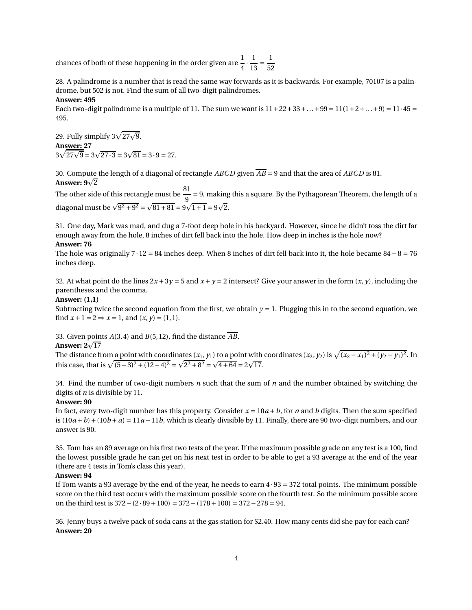chances of both of these happening in the order given are  $\frac{1}{4}$ . 1  $\frac{1}{13}$  = 1 52

28. A palindrome is a number that is read the same way forwards as it is backwards. For example, 70107 is a palindrome, but 502 is not. Find the sum of all two-digit palindromes.

#### **Answer: 495**

Each two-digit palindrome is a multiple of 11. The sum we want is  $11+22+33+...+99 = 11(1+2+...+9) = 11.45 =$ 495.

29. Fully simplify  $3\sqrt{27\sqrt{9}}$ . **Answer: 27**  $3\sqrt{27\sqrt{9}} = 3\sqrt{27\cdot 3} = 3\sqrt{81} = 3\cdot 9 = 27.$ 

30. Compute the length of a diagonal of rectangle *ABCD* given *AB* = 9 and that the area of *ABCD* is 81. Answer:  $9\sqrt{2}$ 

The other side of this rectangle must be  $\frac{81}{9}$  = 9, making this a square. By the Pythagorean Theorem, the length of a diagonal must be  $\sqrt{9^2 + 9^2} = \sqrt{81 + 81} = 9\sqrt{1 + 1} = 9\sqrt{2}$ .

31. One day, Mark was mad, and dug a 7-foot deep hole in his backyard. However, since he didn't toss the dirt far enough away from the hole, 8 inches of dirt fell back into the hole. How deep in inches is the hole now? **Answer: 76**

The hole was originally  $7 \cdot 12 = 84$  inches deep. When 8 inches of dirt fell back into it, the hole became  $84-8=76$ inches deep.

32. At what point do the lines  $2x + 3y = 5$  and  $x + y = 2$  intersect? Give your answer in the form  $(x, y)$ , including the parentheses and the comma.

#### **Answer: (1,1)**

Subtracting twice the second equation from the first, we obtain  $y = 1$ . Plugging this in to the second equation, we find  $x + 1 = 2 \Rightarrow x = 1$ , and  $(x, y) = (1, 1)$ .

33. Given points *A*(3,4) and *B*(5,12), find the distance *AB*.

## **Answer:**  $2\sqrt{17}$

The distance from a point with coordinates  $(x_1, y_1)$  to a point with coordinates  $(x_2, y_2)$  is  $\sqrt{(x_2 - x_1)^2 + (y_2 - y_1)^2}$ . In this case, that is  $\sqrt{(5-3)^2 + (12-4)^2} = \sqrt{2^2 + 8^2} = \sqrt{4+64} = 2\sqrt{17}$ .

34. Find the number of two-digit numbers *n* such that the sum of *n* and the number obtained by switching the digits of *n* is divisible by 11.

#### **Answer: 90**

In fact, every two-digit number has this property. Consider  $x = 10a + b$ , for *a* and *b* digits. Then the sum specified is  $(10a + b) + (10b + a) = 11a + 11b$ , which is clearly divisible by 11. Finally, there are 90 two-digit numbers, and our answer is 90.

35. Tom has an 89 average on his first two tests of the year. If the maximum possible grade on any test is a 100, find the lowest possible grade he can get on his next test in order to be able to get a 93 average at the end of the year (there are 4 tests in Tom's class this year).

#### **Answer: 94**

If Tom wants a 93 average by the end of the year, he needs to earn  $4.93 = 372$  total points. The minimum possible score on the third test occurs with the maximum possible score on the fourth test. So the minimum possible score on the third test is  $372-(2·89+100) = 372-(178+100) = 372-278 = 94$ .

36. Jenny buys a twelve pack of soda cans at the gas station for \$2.40. How many cents did she pay for each can? **Answer: 20**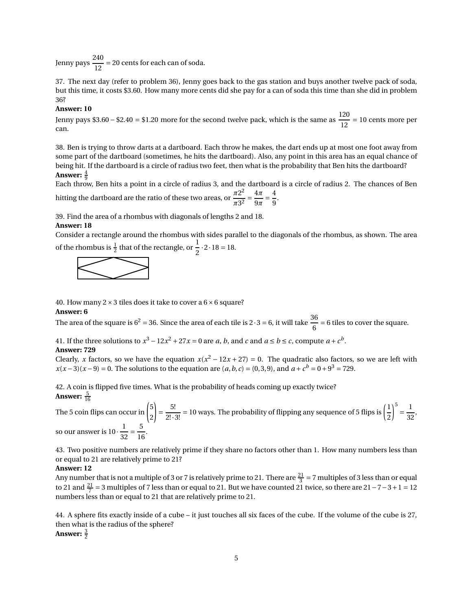Jenny pays  $\frac{240}{12}$  $\frac{12}{12}$  = 20 cents for each can of soda.

37. The next day (refer to problem 36), Jenny goes back to the gas station and buys another twelve pack of soda, but this time, it costs \$3.60. How many more cents did she pay for a can of soda this time than she did in problem 36?

#### **Answer: 10**

Jenny pays \$3.60 – \$2.40 = \$1.20 more for the second twelve pack, which is the same as  $\frac{120}{12}$  = 10 cents more per can.

38. Ben is trying to throw darts at a dartboard. Each throw he makes, the dart ends up at most one foot away from some part of the dartboard (sometimes, he hits the dartboard). Also, any point in this area has an equal chance of being hit. If the dartboard is a circle of radius two feet, then what is the probability that Ben hits the dartboard? Answer:  $\frac{4}{9}$ 

Each throw, Ben hits a point in a circle of radius 3, and the dartboard is a circle of radius 2. The chances of Ben hitting the dartboard are the ratio of these two areas, or  $\frac{\pi 2^2}{2}$  $\frac{\pi 3^2}{}$ 4*π*  $\frac{1}{9\pi}$ 4  $\frac{1}{9}$ .

39. Find the area of a rhombus with diagonals of lengths 2 and 18.

### **Answer: 18**

Consider a rectangle around the rhombus with sides parallel to the diagonals of the rhombus, as shown. The area of the rhombus is  $\frac{1}{2}$  that of the rectangle, or  $\frac{1}{2} \cdot 2 \cdot 18 = 18$ .



40. How many  $2 \times 3$  tiles does it take to cover a  $6 \times 6$  square?

### **Answer: 6**

The area of the square is 6<sup>2</sup> = 36. Since the area of each tile is 2 · 3 = 6, it will take  $\frac{36}{6}$  $\frac{6}{6}$  = 6 tiles to cover the square.

41. If the three solutions to  $x^3 - 12x^2 + 27x = 0$  are *a*, *b*, and *c* and  $a \le b \le c$ , compute  $a + c^b$ . **Answer: 729**

Clearly, *x* factors, so we have the equation  $x(x^2 - 12x + 27) = 0$ . The quadratic also factors, so we are left with *x*(*x* − 3)(*x* − 9) = 0. The solutions to the equation are (*a*,*b*,*c*) = (0,3,9), and *a* + *c*<sup>*b*</sup> = 0 + 9<sup>3</sup> = 729.

42. A coin is flipped five times. What is the probability of heads coming up exactly twice? **Answer:**  $\frac{5}{16}$ 

The 5 coin flips can occur in  $\binom{5}{6}$ 2 ! = 5!  $\frac{5!}{2! \cdot 3!} = 10$  ways. The probability of flipping any sequence of 5 flips is  $\left(\frac{1}{2}\right)$ 2  $\big)^5$ = 1  $\frac{1}{32}$ so our answer is  $10 \cdot \frac{1}{32}$  $\frac{1}{32}$  = 5  $\frac{1}{16}$ .

43. Two positive numbers are relatively prime if they share no factors other than 1. How many numbers less than or equal to 21 are relatively prime to 21?

## **Answer: 12**

Any number that is not a multiple of 3 or 7 is relatively prime to 21. There are  $\frac{21}{3}$  = 7 multiples of 3 less than or equal to 21 and  $\frac{21}{7}$  = 3 multiples of 7 less than or equal to 21. But we have counted 21 twice, so there are 21 – 7 – 3 + 1 = 12 numbers less than or equal to 21 that are relatively prime to 21.

44. A sphere fits exactly inside of a cube – it just touches all six faces of the cube. If the volume of the cube is 27, then what is the radius of the sphere? Answer:  $\frac{3}{2}$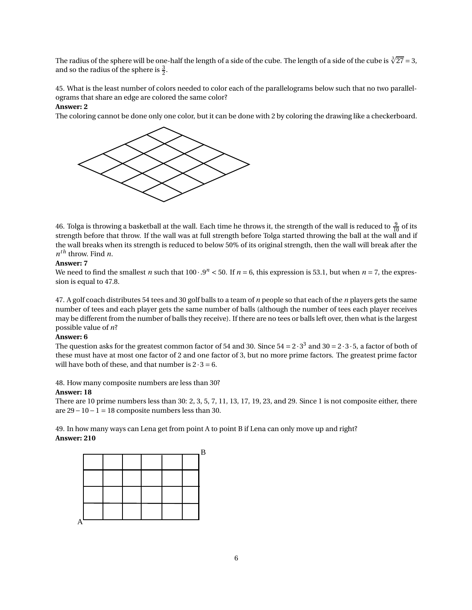The radius of the sphere will be one-half the length of a side of the cube. The length of a side of the cube is  $\sqrt[3]{27} = 3$ , and so the radius of the sphere is  $\frac{3}{2}$ .

45. What is the least number of colors needed to color each of the parallelograms below such that no two parallelograms that share an edge are colored the same color?

## **Answer: 2**

The coloring cannot be done only one color, but it can be done with 2 by coloring the drawing like a checkerboard.



46. Tolga is throwing a basketball at the wall. Each time he throws it, the strength of the wall is reduced to  $\frac{9}{10}$  of its strength before that throw. If the wall was at full strength before Tolga started throwing the ball at the wall and if the wall breaks when its strength is reduced to below 50% of its original strength, then the wall will break after the *n th* throw. Find *n*.

### **Answer: 7**

We need to find the smallest *n* such that  $100 \cdot .9^n < 50$ . If  $n = 6$ , this expression is 53.1, but when  $n = 7$ , the expression is equal to 47.8.

47. A golf coach distributes 54 tees and 30 golf balls to a team of *n* people so that each of the *n* players gets the same number of tees and each player gets the same number of balls (although the number of tees each player receives may be different from the number of balls they receive). If there are no tees or balls left over, then what is the largest possible value of *n*?

#### **Answer: 6**

The question asks for the greatest common factor of 54 and 30. Since  $54 = 2 \cdot 3^3$  and  $30 = 2 \cdot 3 \cdot 5$ , a factor of both of these must have at most one factor of 2 and one factor of 3, but no more prime factors. The greatest prime factor will have both of these, and that number is  $2 \cdot 3 = 6$ .

48. How many composite numbers are less than 30?

#### **Answer: 18**

There are 10 prime numbers less than 30: 2, 3, 5, 7, 11, 13, 17, 19, 23, and 29. Since 1 is not composite either, there are  $29-10-1=18$  composite numbers less than 30.

49. In how many ways can Lena get from point A to point B if Lena can only move up and right? **Answer: 210**